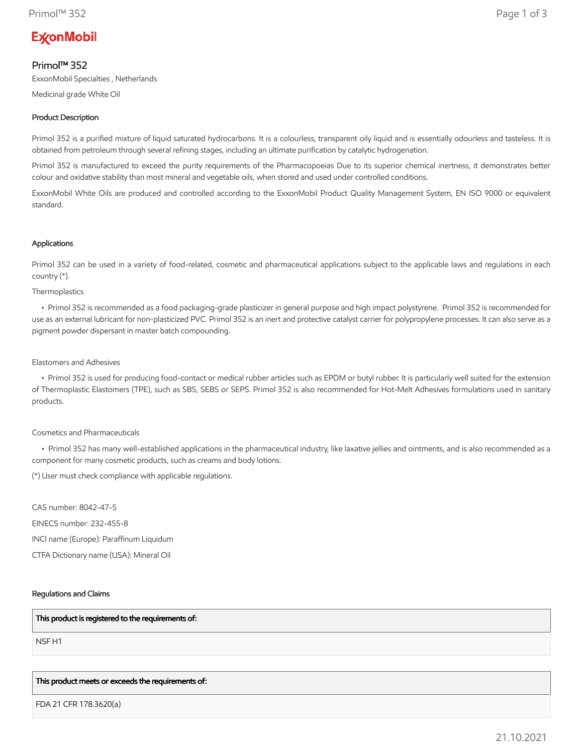# **ExconMobil**

# Primol™ 352

ExxonMobil Specialties , Netherlands

Medicinal grade White Oil

# Product Description

Primol 352 is a purified mixture of liquid saturated hydrocarbons. It is a colourless, transparent oily liquid and is essentially odourless and tasteless. It is obtained from petroleum through several refining stages, including an ultimate purification by catalytic hydrogenation.

Primol 352 is manufactured to exceed the purity requirements of the Pharmacopoeias Due to its superior chemical inertness, it demonstrates better colour and oxidative stability than most mineral and vegetable oils, when stored and used under controlled conditions.

ExxonMobil White Oils are produced and controlled according to the ExxonMobil Product Quality Management System, EN ISO 9000 or equivalent standard.

## Applications

Primol 352 can be used in a variety of food-related, cosmetic and pharmaceutical applications subject to the applicable laws and regulations in each country (\*).

Thermoplastics

 • Primol 352 is recommended as a food packaging-grade plasticizer in general purpose and high impact polystyrene. Primol 352 is recommended for use as an external lubricant for non-plasticized PVC. Primol 352 is an inert and protective catalyst carrier for polypropylene processes. It can also serve as a pigment powder dispersant in master batch compounding.

## Elastomers and Adhesives

 • Primol 352 is used for producing food-contact or medical rubber articles such as EPDM or butyl rubber. It is particularly well suited for the extension of Thermoplastic Elastomers (TPE), such as SBS, SEBS or SEPS. Primol 352 is also recommended for Hot-Melt Adhesives formulations used in sanitary products.

# Cosmetics and Pharmaceuticals

 • Primol 352 has many well-established applications in the pharmaceutical industry, like laxative jellies and ointments, and is also recommended as a component for many cosmetic products, such as creams and body lotions.

(\*) User must check compliance with applicable regulations.

CAS number: 8042-47-5 EINECS number: 232-455-8 INCI name (Europe): Paraffinum Liquidum CTFA Dictionary name (USA): Mineral Oil

# Regulations and Claims

#### This product is registered to the requirements of:

NSF H1

#### This product meets or exceeds the requirements of:

FDA 21 CFR 178.3620(a)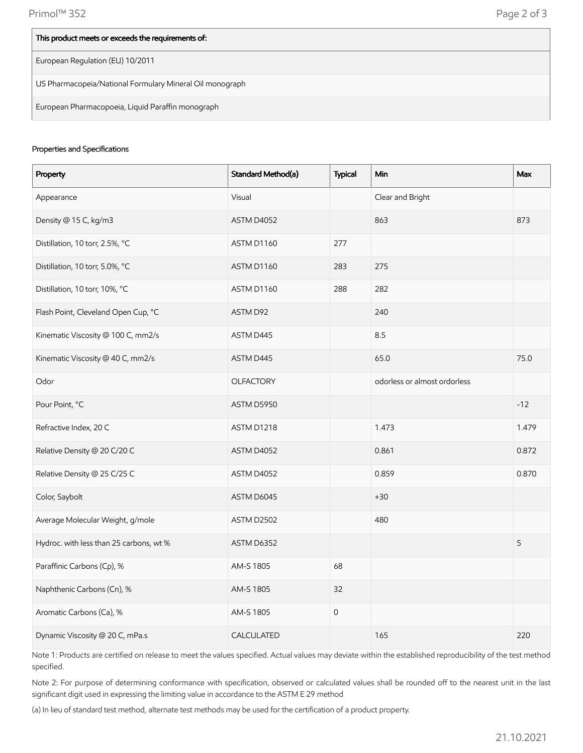| This product meets or exceeds the requirements of:       |
|----------------------------------------------------------|
| European Regulation (EU) 10/2011                         |
| US Pharmacopeia/National Formulary Mineral Oil monograph |
| European Pharmacopoeia, Liquid Paraffin monograph        |

### Properties and Specifications

| Property                                | Standard Method(a) | <b>Typical</b>      | Min                          | Max   |
|-----------------------------------------|--------------------|---------------------|------------------------------|-------|
| Appearance                              | Visual             |                     | Clear and Bright             |       |
| Density @ 15 C, kg/m3                   | ASTM D4052         |                     | 863                          | 873   |
| Distillation, 10 torr, 2.5%, °C         | ASTM D1160         | 277                 |                              |       |
| Distillation, 10 torr, 5.0%, °C         | ASTM D1160         | 283                 | 275                          |       |
| Distillation, 10 torr, 10%, °C          | ASTM D1160         | 288                 | 282                          |       |
| Flash Point, Cleveland Open Cup, °C     | ASTM D92           |                     | 240                          |       |
| Kinematic Viscosity @ 100 C, mm2/s      | ASTM D445          |                     | 8.5                          |       |
| Kinematic Viscosity @ 40 C, mm2/s       | ASTM D445          |                     | 65.0                         | 75.0  |
| Odor                                    | <b>OLFACTORY</b>   |                     | odorless or almost ordorless |       |
| Pour Point, °C                          | ASTM D5950         |                     |                              | $-12$ |
| Refractive Index, 20 C                  | ASTM D1218         |                     | 1.473                        | 1.479 |
| Relative Density @ 20 C/20 C            | ASTM D4052         |                     | 0.861                        | 0.872 |
| Relative Density @ 25 C/25 C            | ASTM D4052         |                     | 0.859                        | 0.870 |
| Color, Saybolt                          | ASTM D6045         |                     | $+30$                        |       |
| Average Molecular Weight, g/mole        | ASTM D2502         |                     | 480                          |       |
| Hydroc. with less than 25 carbons, wt % | ASTM D6352         |                     |                              | 5     |
| Paraffinic Carbons (Cp), %              | AM-S 1805          | 68                  |                              |       |
| Naphthenic Carbons (Cn), %              | AM-S 1805          | 32                  |                              |       |
| Aromatic Carbons (Ca), %                | AM-S 1805          | $\mathsf{O}\xspace$ |                              |       |
| Dynamic Viscosity @ 20 C, mPa.s         | CALCULATED         |                     | 165                          | 220   |

Note 1: Products are certified on release to meet the values specified. Actual values may deviate within the established reproducibility of the test method specified.

Note 2: For purpose of determining conformance with specification, observed or calculated values shall be rounded off to the nearest unit in the last significant digit used in expressing the limiting value in accordance to the ASTM E 29 method

(a) In lieu of standard test method, alternate test methods may be used for the certification of a product property.